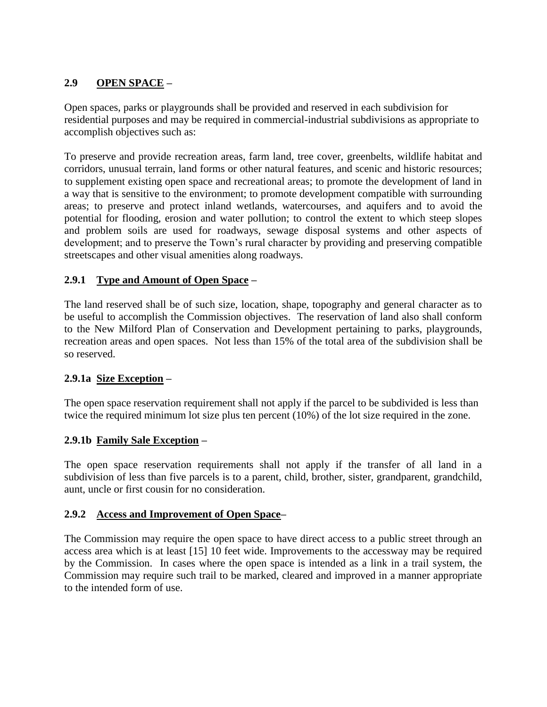# **2.9 OPEN SPACE –**

Open spaces, parks or playgrounds shall be provided and reserved in each subdivision for residential purposes and may be required in commercial-industrial subdivisions as appropriate to accomplish objectives such as:

To preserve and provide recreation areas, farm land, tree cover, greenbelts, wildlife habitat and corridors, unusual terrain, land forms or other natural features, and scenic and historic resources; to supplement existing open space and recreational areas; to promote the development of land in a way that is sensitive to the environment; to promote development compatible with surrounding areas; to preserve and protect inland wetlands, watercourses, and aquifers and to avoid the potential for flooding, erosion and water pollution; to control the extent to which steep slopes and problem soils are used for roadways, sewage disposal systems and other aspects of development; and to preserve the Town's rural character by providing and preserving compatible streetscapes and other visual amenities along roadways.

## **2.9.1 Type and Amount of Open Space –**

The land reserved shall be of such size, location, shape, topography and general character as to be useful to accomplish the Commission objectives. The reservation of land also shall conform to the New Milford Plan of Conservation and Development pertaining to parks, playgrounds, recreation areas and open spaces. Not less than 15% of the total area of the subdivision shall be so reserved.

## **2.9.1a Size Exception –**

The open space reservation requirement shall not apply if the parcel to be subdivided is less than twice the required minimum lot size plus ten percent (10%) of the lot size required in the zone.

## **2.9.1b Family Sale Exception –**

The open space reservation requirements shall not apply if the transfer of all land in a subdivision of less than five parcels is to a parent, child, brother, sister, grandparent, grandchild, aunt, uncle or first cousin for no consideration.

## **2.9.2 Access and Improvement of Open Space–**

The Commission may require the open space to have direct access to a public street through an access area which is at least [15] 10 feet wide. Improvements to the accessway may be required by the Commission. In cases where the open space is intended as a link in a trail system, the Commission may require such trail to be marked, cleared and improved in a manner appropriate to the intended form of use.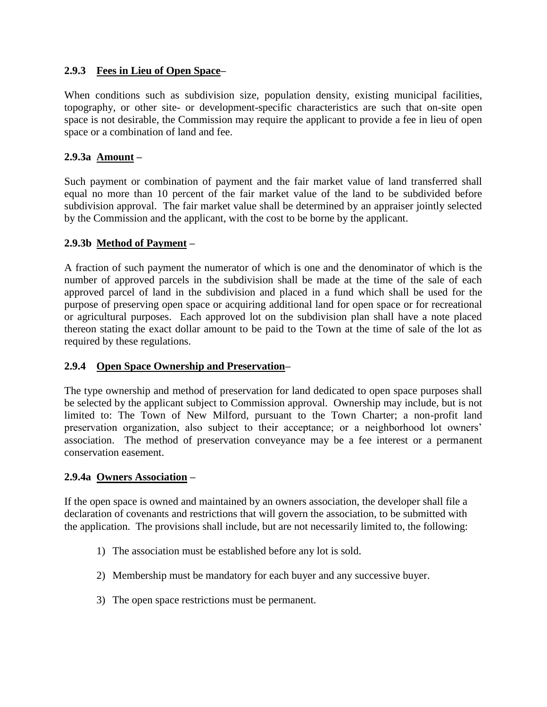## **2.9.3 Fees in Lieu of Open Space–**

When conditions such as subdivision size, population density, existing municipal facilities, topography, or other site- or development-specific characteristics are such that on-site open space is not desirable, the Commission may require the applicant to provide a fee in lieu of open space or a combination of land and fee.

#### **2.9.3a Amount –**

Such payment or combination of payment and the fair market value of land transferred shall equal no more than 10 percent of the fair market value of the land to be subdivided before subdivision approval. The fair market value shall be determined by an appraiser jointly selected by the Commission and the applicant, with the cost to be borne by the applicant.

#### **2.9.3b Method of Payment –**

A fraction of such payment the numerator of which is one and the denominator of which is the number of approved parcels in the subdivision shall be made at the time of the sale of each approved parcel of land in the subdivision and placed in a fund which shall be used for the purpose of preserving open space or acquiring additional land for open space or for recreational or agricultural purposes. Each approved lot on the subdivision plan shall have a note placed thereon stating the exact dollar amount to be paid to the Town at the time of sale of the lot as required by these regulations.

#### **2.9.4 Open Space Ownership and Preservation–**

The type ownership and method of preservation for land dedicated to open space purposes shall be selected by the applicant subject to Commission approval. Ownership may include, but is not limited to: The Town of New Milford, pursuant to the Town Charter; a non-profit land preservation organization, also subject to their acceptance; or a neighborhood lot owners' association. The method of preservation conveyance may be a fee interest or a permanent conservation easement.

#### **2.9.4a Owners Association –**

If the open space is owned and maintained by an owners association, the developer shall file a declaration of covenants and restrictions that will govern the association, to be submitted with the application. The provisions shall include, but are not necessarily limited to, the following:

- 1) The association must be established before any lot is sold.
- 2) Membership must be mandatory for each buyer and any successive buyer.
- 3) The open space restrictions must be permanent.